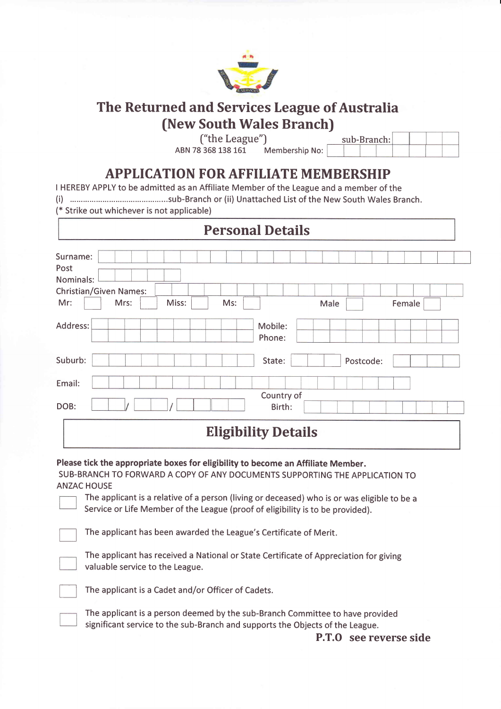

## The Returned and Services League of Australia (New South Wales Branch)

("the League")

ABN 78 368 138 161 Membership No:

sub-Branch:

## APPLICATION FOR AFFILIATE MEMBERSHIP

I HEREBY APPLY to be admitted as an Affiliate Member of the League and a member of the

(i) ...sub-Branch or (ii) Unattached List of the New South Wales Branch.

(\* Strike out whichever is not applicable)

| Surname:<br>Nominals:<br><b>Christian/Given Names:</b><br>Miss:<br>Mrs:<br>Ms:<br>Mr:<br>Male<br>Female<br>Mobile:<br>Phone:<br>State:<br>Postcode:<br>Country of<br>Birth: | <b>Personal Details</b> |  |  |  |  |  |  |
|-----------------------------------------------------------------------------------------------------------------------------------------------------------------------------|-------------------------|--|--|--|--|--|--|
| Address:<br>Email:<br>DOB:                                                                                                                                                  | Post                    |  |  |  |  |  |  |
| Suburb:                                                                                                                                                                     |                         |  |  |  |  |  |  |
|                                                                                                                                                                             |                         |  |  |  |  |  |  |
|                                                                                                                                                                             |                         |  |  |  |  |  |  |
|                                                                                                                                                                             |                         |  |  |  |  |  |  |

## Eligibility Details

Please tick the appropriate boxes for eligibility to become an Affiliate Member.

SUB-BRANCH TO FORWARD A COPY OF ANY DOCUMENTS SUPPORTING THE APPLICATION TO ANZAC HOUSE

The applicant is a relative of a person (living or deceased) who is or was eligible to be <sup>a</sup> Service or Life Member of the League (proof of eligibility is to be provided).

The applicant has been awarded the League's Certificate of Merit.

The applicant has received a National or State Certificate of Appreciation for giving valuable service to the League.

The applicant is a Cadet and/or Officer of Cadets.

The applicant is a person deemed by the sub-Branch Committee to have provided significant service to the sub-Branch and supports the Objects of the League.

P.T.O see reverse side